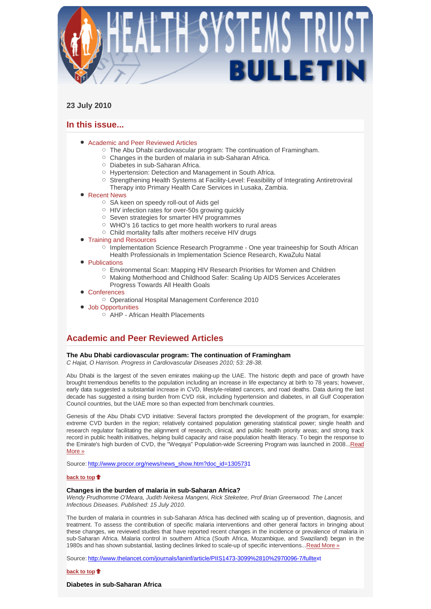

# **23 July 2010**

# **In this issue...**

- Academic and Peer Reviewed Articles
	- The Abu Dhabi cardiovascular program: The continuation of Framingham.
	- $\circ$  Changes in the burden of malaria in sub-Saharan Africa.
	- Diabetes in sub-Saharan Africa.
	- Hypertension: Detection and Management in South Africa.
	- Strengthening Health Systems at Facility-Level: Feasibility of Integrating Antiretroviral Therapy into Primary Health Care Services in Lusaka, Zambia.

# • Recent News

- SA keen on speedy roll-out of Aids gel
- HIV infection rates for over-50s growing quickly
- o Seven strategies for smarter HIV programmes
- WHO's 16 tactics to get more health workers to rural areas
- Child mortality falls after mothers receive HIV drugs
- Training and Resources
	- Implementation Science Research Programme One year traineeship for South African Health Professionals in Implementation Science Research, KwaZulu Natal
- Publications
	- Environmental Scan: Mapping HIV Research Priorities for Women and Children
	- o Making Motherhood and Childhood Safer: Scaling Up AIDS Services Accelerates Progress Towards All Health Goals
- Conferences
	- Operational Hospital Management Conference 2010
- Job Opportunities
	- $\overrightarrow{P}$  AHP African Health Placements

# **Academic and Peer Reviewed Articles**

# **The Abu Dhabi cardiovascular program: The continuation of Framingham**

*C Hajat, O Harrison. Progress in Cardiovascular Diseases 2010; 53: 28-38.* 

Abu Dhabi is the largest of the seven emirates making-up the UAE. The historic depth and pace of growth have brought tremendous benefits to the population including an increase in life expectancy at birth to 78 years; however, early data suggested a substantial increase in CVD, lifestyle-related cancers, and road deaths. Data during the last decade has suggested a rising burden from CVD risk, including hypertension and diabetes, in all Gulf Cooperation Council countries, but the UAE more so than expected from benchmark countries.

Genesis of the Abu Dhabi CVD initiative: Several factors prompted the development of the program, for example: extreme CVD burden in the region; relatively contained population generating statistical power; single health and research regulator facilitating the alignment of research, clinical, and public health priority areas; and strong track record in public health initiatives, helping build capacity and raise population health literacy. To begin the response to the Emirate's high burden of CVD, the "Weqaya" Population-wide Screening Program was launched in 2008...Read More »

Source: http://www.procor.org/news/news\_show.htm?doc\_id=1305731

# **back to top**

### **Changes in the burden of malaria in sub-Saharan Africa?**

*Wendy Prudhomme O'Meara, Judith Nekesa Mangeni, Rick Steketee, Prof Brian Greenwood. The Lancet Infectious Diseases. Published: 15 July 2010.* 

The burden of malaria in countries in sub-Saharan Africa has declined with scaling up of prevention, diagnosis, and treatment. To assess the contribution of specific malaria interventions and other general factors in bringing about these changes, we reviewed studies that have reported recent changes in the incidence or prevalence of malaria in sub-Saharan Africa. Malaria control in southern Africa (South Africa, Mozambique, and Swaziland) began in the 1980s and has shown substantial, lasting declines linked to scale-up of specific interventions...Read More »

Source: http://www.thelancet.com/journals/laninf/article/PIIS1473-3099%2810%2970096-7/fulltext

**back to top**

**Diabetes in sub-Saharan Africa**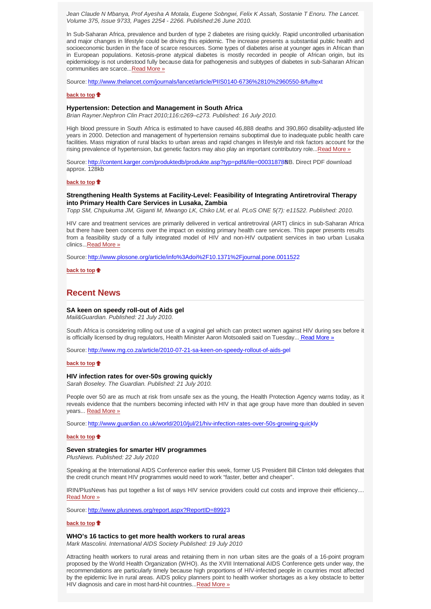*Jean Claude N Mbanya, Prof Ayesha A Motala, Eugene Sobngwi, Felix K Assah, Sostanie T Enoru. The Lancet. Volume 375, Issue 9733, Pages 2254 - 2266. Published:26 June 2010.* 

In Sub-Saharan Africa, prevalence and burden of type 2 diabetes are rising quickly. Rapid uncontrolled urbanisation and major changes in lifestyle could be driving this epidemic. The increase presents a substantial public health and socioeconomic burden in the face of scarce resources. Some types of diabetes arise at younger ages in African than in European populations. Ketosis-prone atypical diabetes is mostly recorded in people of African origin, but its epidemiology is not understood fully because data for pathogenesis and subtypes of diabetes in sub-Saharan African communities are scarce...Read More »

Source: http://www.thelancet.com/journals/lancet/article/PIIS0140-6736%2810%2960550-8/fulltext

#### **back to top**

### **Hypertension: Detection and Management in South Africa**

*Brian Rayner.Nephron Clin Pract 2010;116:c269–c273. Published: 16 July 2010.*

High blood pressure in South Africa is estimated to have caused 46,888 deaths and 390,860 disability-adjusted life years in 2000. Detection and management of hypertension remains suboptimal due to inadequate public health care facilities. Mass migration of rural blacks to urban areas and rapid changes in lifestyle and risk factors account for the rising prevalence of hypertension, but genetic factors may also play an important contributory role...Read More »

Source: http://content.karger.com/produktedb/produkte.asp?typ=pdf&file=00031878NB. Direct PDF download approx. 128kb

#### **back to top**

### **Strengthening Health Systems at Facility-Level: Feasibility of Integrating Antiretroviral Therapy into Primary Health Care Services in Lusaka, Zambia**

*Topp SM, Chipukuma JM, Giganti M, Mwango LK, Chiko LM, et al. PLoS ONE 5(7): e11522. Published: 2010.* 

HIV care and treatment services are primarily delivered in vertical antiretroviral (ART) clinics in sub-Saharan Africa but there have been concerns over the impact on existing primary health care services. This paper presents results from a feasibility study of a fully integrated model of HIV and non-HIV outpatient services in two urban Lusaka clinics...Read More »

Source: http://www.plosone.org/article/info%3Adoi%2F10.1371%2Fjournal.pone.0011522

**back to top**

# **Recent News**

#### **SA keen on speedy roll-out of Aids gel**

*Mail&Guardian. Published: 21 July 2010.*

South Africa is considering rolling out use of a vaginal gel which can protect women against HIV during sex before it is officially licensed by drug regulators, Health Minister Aaron Motsoaledi said on Tuesday... Read More »

Source: http://www.mg.co.za/article/2010-07-21-sa-keen-on-speedy-rollout-of-aids-gel

#### **back to top**

#### **HIV infection rates for over-50s growing quickly**

*Sarah Boseley. The Guardian. Published: 21 July 2010.*

People over 50 are as much at risk from unsafe sex as the young, the Health Protection Agency warns today, as it reveals evidence that the numbers becoming infected with HIV in that age group have more than doubled in seven years... Read More »

Source: http://www.guardian.co.uk/world/2010/jul/21/hiv-infection-rates-over-50s-growing-quickly

#### **back to top**

#### **Seven strategies for smarter HIV programmes**

*PlusNews. Published: 22 July 2010*

Speaking at the International AIDS Conference earlier this week, former US President Bill Clinton told delegates that the credit crunch meant HIV programmes would need to work "faster, better and cheaper".

IRIN/PlusNews has put together a list of ways HIV service providers could cut costs and improve their efficiency.... Read More »

Source: http://www.plusnews.org/report.aspx?ReportID=89923

#### **back to top**

# **WHO's 16 tactics to get more health workers to rural areas**

*Mark Mascolini. International AIDS Society Published: 19 July 2010*

Attracting health workers to rural areas and retaining them in non urban sites are the goals of a 16-point program proposed by the World Health Organization (WHO). As the XVIII International AIDS Conference gets under way, the recommendations are particularly timely because high proportions of HIV-infected people in countries most affected by the epidemic live in rural areas. AIDS policy planners point to health worker shortages as a key obstacle to better HIV diagnosis and care in most hard-hit countries...Read More »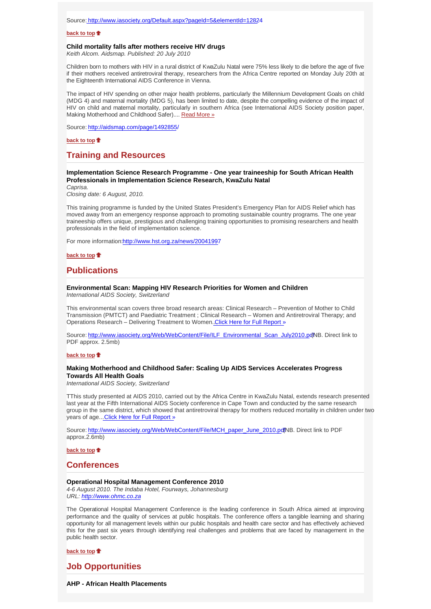## **back to top**

#### **Child mortality falls after mothers receive HIV drugs**

*Keith Alcom. Aidsmap. Published: 20 July 2010*

Children born to mothers with HIV in a rural district of KwaZulu Natal were 75% less likely to die before the age of five if their mothers received antiretroviral therapy, researchers from the Africa Centre reported on Monday July 20th at the Eighteenth International AIDS Conference in Vienna.

The impact of HIV spending on other major health problems, particularly the Millennium Development Goals on child (MDG 4) and maternal mortality (MDG 5), has been limited to date, despite the compelling evidence of the impact of HIV on child and maternal mortality, particularly in southern Africa (see International AIDS Society position paper, Making Motherhood and Childhood Safer).... Read More »

Source: http://aidsmap.com/page/1492855/

#### **back to top**

# **Training and Resources**

# **Implementation Science Research Programme - One year traineeship for South African Health Professionals in Implementation Science Research, KwaZulu Natal**

*Caprisa.*

*Closing date: 6 August, 2010.*

This training programme is funded by the United States President's Emergency Plan for AIDS Relief which has moved away from an emergency response approach to promoting sustainable country programs. The one year traineeship offers unique, prestigious and challenging training opportunities to promising researchers and health professionals in the field of implementation science.

For more information:http://www.hst.org.za/news/20041997

**back to top**

# **Publications**

# **Environmental Scan: Mapping HIV Research Priorities for Women and Children**

*International AIDS Society, Switzerland*

This environmental scan covers three broad research areas: Clinical Research – Prevention of Mother to Child Transmission (PMTCT) and Paediatric Treatment ; Clinical Research – Women and Antiretroviral Therapy; and Operations Research - Delivering Treatment to Women. Click Here for Full Report »

Source: http://www.iasociety.org/Web/WebContent/File/ILF\_Environmental\_Scan\_July2010.pdNB. Direct link to PDF approx. 2.5mb)

#### **back to top**

## **Making Motherhood and Childhood Safer: Scaling Up AIDS Services Accelerates Progress Towards All Health Goals**

*International AIDS Society, Switzerland*

TThis study presented at AIDS 2010, carried out by the Africa Centre in KwaZulu Natal, extends research presented last year at the Fifth International AIDS Society conference in Cape Town and conducted by the same research group in the same district, which showed that antiretroviral therapy for mothers reduced mortality in children under two years of age... Click Here for Full Report »

Source: http://www.iasociety.org/Web/WebContent/File/MCH\_paper\_June\_2010.pdfNB. Direct link to PDF approx.2.6mb)

**back to top**

# **Conferences**

### **Operational Hospital Management Conference 2010**

*4-6 August 2010. The Indaba Hotel, Fourways, Johannesburg URL: http://www.ohmc.co.za*

The Operational Hospital Management Conference is the leading conference in South Africa aimed at improving performance and the quality of services at public hospitals. The conference offers a tangible learning and sharing opportunity for all management levels within our public hospitals and health care sector and has effectively achieved this for the past six years through identifying real challenges and problems that are faced by management in the public health sector.

**back to top**

**Job Opportunities**

**AHP - African Health Placements**